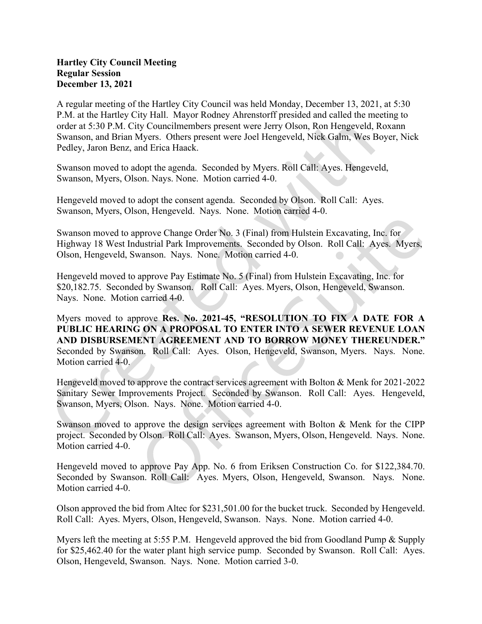## Hartley City Council Meeting Regular Session December 13, 2021

A regular meeting of the Hartley City Council was held Monday, December 13, 2021, at 5:30 P.M. at the Hartley City Hall. Mayor Rodney Ahrenstorff presided and called the meeting to order at 5:30 P.M. City Councilmembers present were Jerry Olson, Ron Hengeveld, Roxann Swanson, and Brian Myers. Others present were Joel Hengeveld, Nick Galm, Wes Boyer, Nick Pedley, Jaron Benz, and Erica Haack.

Swanson moved to adopt the agenda. Seconded by Myers. Roll Call: Ayes. Hengeveld, Swanson, Myers, Olson. Nays. None. Motion carried 4-0.

Hengeveld moved to adopt the consent agenda. Seconded by Olson. Roll Call: Ayes. Swanson, Myers, Olson, Hengeveld. Nays. None. Motion carried 4-0.

Swanson moved to approve Change Order No. 3 (Final) from Hulstein Excavating, Inc. for Highway 18 West Industrial Park Improvements. Seconded by Olson. Roll Call: Ayes. Myers, Olson, Hengeveld, Swanson. Nays. None. Motion carried 4-0.

Hengeveld moved to approve Pay Estimate No. 5 (Final) from Hulstein Excavating, Inc. for \$20,182.75. Seconded by Swanson. Roll Call: Ayes. Myers, Olson, Hengeveld, Swanson. Nays. None. Motion carried 4-0.

Myers moved to approve Res. No. 2021-45, "RESOLUTION TO FIX A DATE FOR A PUBLIC HEARING ON A PROPOSAL TO ENTER INTO A SEWER REVENUE LOAN AND DISBURSEMENT AGREEMENT AND TO BORROW MONEY THEREUNDER." Seconded by Swanson. Roll Call: Ayes. Olson, Hengeveld, Swanson, Myers. Nays. None. Motion carried 4-0.

Hengeveld moved to approve the contract services agreement with Bolton & Menk for 2021-2022 Sanitary Sewer Improvements Project. Seconded by Swanson. Roll Call: Ayes. Hengeveld, Swanson, Myers, Olson. Nays. None. Motion carried 4-0.

Swanson moved to approve the design services agreement with Bolton & Menk for the CIPP project. Seconded by Olson. Roll Call: Ayes. Swanson, Myers, Olson, Hengeveld. Nays. None. Motion carried 4-0.

Hengeveld moved to approve Pay App. No. 6 from Eriksen Construction Co. for \$122,384.70. Seconded by Swanson. Roll Call: Ayes. Myers, Olson, Hengeveld, Swanson. Nays. None. Motion carried 4-0.

Olson approved the bid from Altec for \$231,501.00 for the bucket truck. Seconded by Hengeveld. Roll Call: Ayes. Myers, Olson, Hengeveld, Swanson. Nays. None. Motion carried 4-0.

Myers left the meeting at 5:55 P.M. Hengeveld approved the bid from Goodland Pump & Supply for \$25,462.40 for the water plant high service pump. Seconded by Swanson. Roll Call: Ayes. Olson, Hengeveld, Swanson. Nays. None. Motion carried 3-0.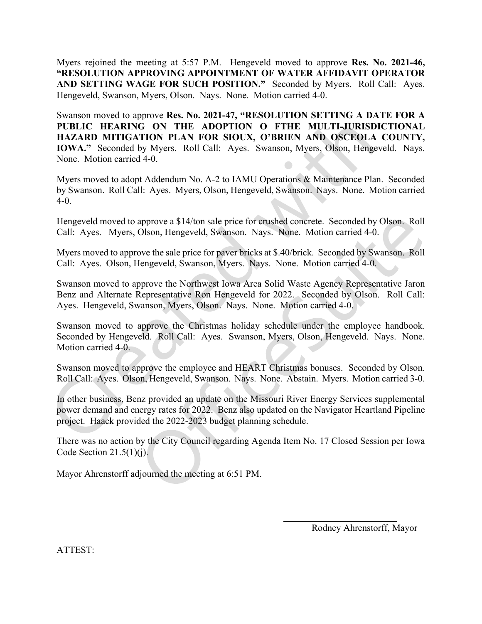Myers rejoined the meeting at 5:57 P.M. Hengeveld moved to approve Res. No. 2021-46, "RESOLUTION APPROVING APPOINTMENT OF WATER AFFIDAVIT OPERATOR AND SETTING WAGE FOR SUCH POSITION." Seconded by Myers. Roll Call: Ayes. Hengeveld, Swanson, Myers, Olson. Nays. None. Motion carried 4-0.

Swanson moved to approve Res. No. 2021-47, "RESOLUTION SETTING A DATE FOR A PUBLIC HEARING ON THE ADOPTION O FTHE MULTI-JURISDICTIONAL HAZARD MITIGATION PLAN FOR SIOUX, O'BRIEN AND OSCEOLA COUNTY, IOWA." Seconded by Myers. Roll Call: Ayes. Swanson, Myers, Olson, Hengeveld. Nays. None. Motion carried 4-0.

Myers moved to adopt Addendum No. A-2 to IAMU Operations & Maintenance Plan. Seconded by Swanson. Roll Call: Ayes. Myers, Olson, Hengeveld, Swanson. Nays. None. Motion carried 4-0.

Hengeveld moved to approve a \$14/ton sale price for crushed concrete. Seconded by Olson. Roll Call: Ayes. Myers, Olson, Hengeveld, Swanson. Nays. None. Motion carried 4-0.

Myers moved to approve the sale price for paver bricks at \$.40/brick. Seconded by Swanson. Roll Call: Ayes. Olson, Hengeveld, Swanson, Myers. Nays. None. Motion carried 4-0.

Swanson moved to approve the Northwest Iowa Area Solid Waste Agency Representative Jaron Benz and Alternate Representative Ron Hengeveld for 2022. Seconded by Olson. Roll Call: Ayes. Hengeveld, Swanson, Myers, Olson. Nays. None. Motion carried 4-0.

Swanson moved to approve the Christmas holiday schedule under the employee handbook. Seconded by Hengeveld. Roll Call: Ayes. Swanson, Myers, Olson, Hengeveld. Nays. None. Motion carried 4-0.

Swanson moved to approve the employee and HEART Christmas bonuses. Seconded by Olson. Roll Call: Ayes. Olson, Hengeveld, Swanson. Nays. None. Abstain. Myers. Motion carried 3-0.<br>In other business, Benz provided an update on the Missouri River Energy Services supplemental

power demand and energy rates for 2022. Benz also updated on the Navigator Heartland Pipeline project. Haack provided the 2022-2023 budget planning schedule.

There was no action by the City Council regarding Agenda Item No. 17 Closed Session per Iowa Code Section  $21.5(1)(i)$ .

Mayor Ahrenstorff adjourned the meeting at 6:51 PM.

Rodney Ahrenstorff, Mayor

ATTEST: